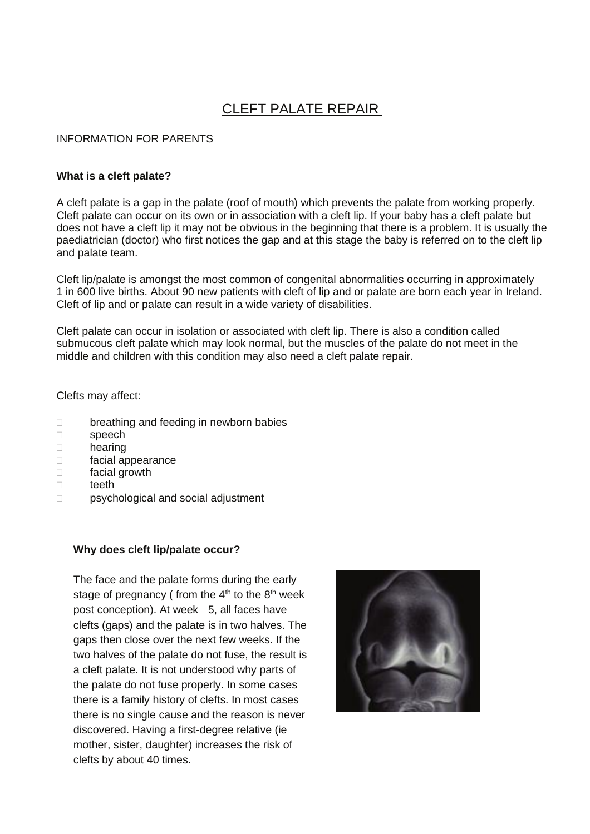# CLEFT PALATE REPAIR

# INFORMATION FOR PARENTS

#### **What is a cleft palate?**

A cleft palate is a gap in the palate (roof of mouth) which prevents the palate from working properly. Cleft palate can occur on its own or in association with a cleft lip. If your baby has a cleft palate but does not have a cleft lip it may not be obvious in the beginning that there is a problem. It is usually the paediatrician (doctor) who first notices the gap and at this stage the baby is referred on to the cleft lip and palate team.

Cleft lip/palate is amongst the most common of congenital abnormalities occurring in approximately 1 in 600 live births. About 90 new patients with cleft of lip and or palate are born each year in Ireland. Cleft of lip and or palate can result in a wide variety of disabilities.

Cleft palate can occur in isolation or associated with cleft lip. There is also a condition called submucous cleft palate which may look normal, but the muscles of the palate do not meet in the middle and children with this condition may also need a cleft palate repair.

Clefts may affect:

- D breathing and feeding in newborn babies
- □ speech
- hearing
- facial appearance
- facial growth
- □ teeth
- □ psychological and social adjustment

#### **Why does cleft lip/palate occur?**

The face and the palate forms during the early stage of pregnancy ( from the  $4<sup>th</sup>$  to the  $8<sup>th</sup>$  week post conception). At week 5, all faces have clefts (gaps) and the palate is in two halves. The gaps then close over the next few weeks. If the two halves of the palate do not fuse, the result is a cleft palate. It is not understood why parts of the palate do not fuse properly. In some cases there is a family history of clefts. In most cases there is no single cause and the reason is never discovered. Having a first-degree relative (ie mother, sister, daughter) increases the risk of clefts by about 40 times.

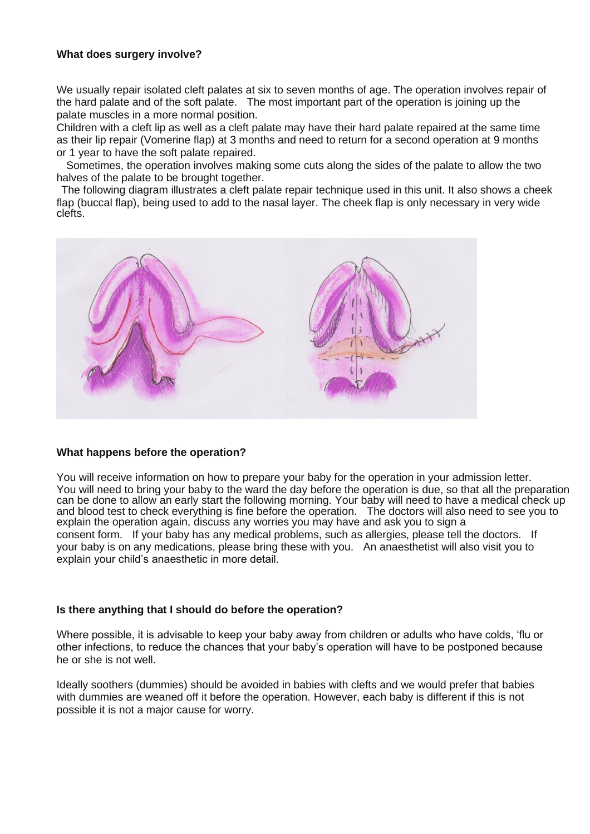# **What does surgery involve?**

We usually repair isolated cleft palates at six to seven months of age. The operation involves repair of the hard palate and of the soft palate. The most important part of the operation is joining up the palate muscles in a more normal position.

Children with a cleft lip as well as a cleft palate may have their hard palate repaired at the same time as their lip repair (Vomerine flap) at 3 months and need to return for a second operation at 9 months or 1 year to have the soft palate repaired.

 Sometimes, the operation involves making some cuts along the sides of the palate to allow the two halves of the palate to be brought together.

The following diagram illustrates a cleft palate repair technique used in this unit. It also shows a cheek flap (buccal flap), being used to add to the nasal layer. The cheek flap is only necessary in very wide clefts.



# **What happens before the operation?**

You will receive information on how to prepare your baby for the operation in your admission letter. You will need to bring your baby to the ward the day before the operation is due, so that all the preparation can be done to allow an early start the following morning. Your baby will need to have a medical check up and blood test to check everything is fine before the operation. The doctors will also need to see you to explain the operation again, discuss any worries you may have and ask you to sign a consent form. If your baby has any medical problems, such as allergies, please tell the doctors. If your baby is on any medications, please bring these with you. An anaesthetist will also visit you to explain your child's anaesthetic in more detail.

#### **Is there anything that I should do before the operation?**

Where possible, it is advisable to keep your baby away from children or adults who have colds, 'flu or other infections, to reduce the chances that your baby's operation will have to be postponed because he or she is not well.

Ideally soothers (dummies) should be avoided in babies with clefts and we would prefer that babies with dummies are weaned off it before the operation. However, each baby is different if this is not possible it is not a major cause for worry.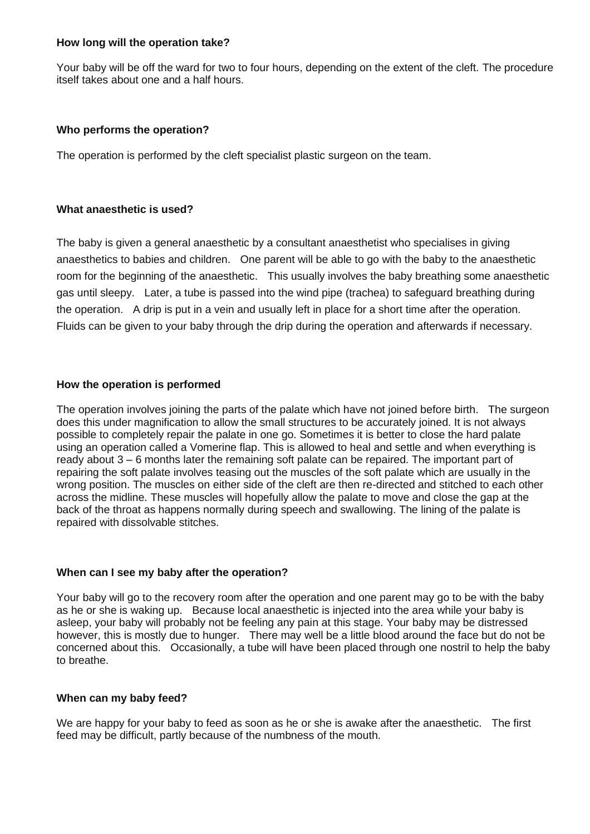## **How long will the operation take?**

Your baby will be off the ward for two to four hours, depending on the extent of the cleft. The procedure itself takes about one and a half hours.

# **Who performs the operation?**

The operation is performed by the cleft specialist plastic surgeon on the team.

## **What anaesthetic is used?**

The baby is given a general anaesthetic by a consultant anaesthetist who specialises in giving anaesthetics to babies and children. One parent will be able to go with the baby to the anaesthetic room for the beginning of the anaesthetic. This usually involves the baby breathing some anaesthetic gas until sleepy. Later, a tube is passed into the wind pipe (trachea) to safeguard breathing during the operation. A drip is put in a vein and usually left in place for a short time after the operation. Fluids can be given to your baby through the drip during the operation and afterwards if necessary.

# **How the operation is performed**

The operation involves joining the parts of the palate which have not joined before birth. The surgeon does this under magnification to allow the small structures to be accurately joined. It is not always possible to completely repair the palate in one go. Sometimes it is better to close the hard palate using an operation called a Vomerine flap. This is allowed to heal and settle and when everything is ready about 3 – 6 months later the remaining soft palate can be repaired. The important part of repairing the soft palate involves teasing out the muscles of the soft palate which are usually in the wrong position. The muscles on either side of the cleft are then re-directed and stitched to each other across the midline. These muscles will hopefully allow the palate to move and close the gap at the back of the throat as happens normally during speech and swallowing. The lining of the palate is repaired with dissolvable stitches.

# **When can I see my baby after the operation?**

Your baby will go to the recovery room after the operation and one parent may go to be with the baby as he or she is waking up. Because local anaesthetic is injected into the area while your baby is asleep, your baby will probably not be feeling any pain at this stage. Your baby may be distressed however, this is mostly due to hunger. There may well be a little blood around the face but do not be concerned about this. Occasionally, a tube will have been placed through one nostril to help the baby to breathe.

#### **When can my baby feed?**

We are happy for your baby to feed as soon as he or she is awake after the anaesthetic. The first feed may be difficult, partly because of the numbness of the mouth.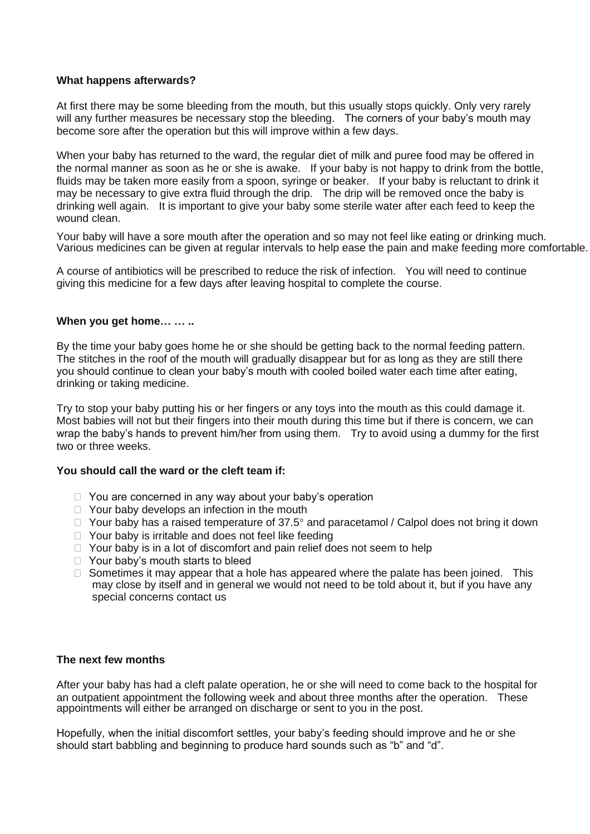# **What happens afterwards?**

At first there may be some bleeding from the mouth, but this usually stops quickly. Only very rarely will any further measures be necessary stop the bleeding. The corners of your baby's mouth may become sore after the operation but this will improve within a few days.

When your baby has returned to the ward, the regular diet of milk and puree food may be offered in the normal manner as soon as he or she is awake. If your baby is not happy to drink from the bottle, fluids may be taken more easily from a spoon, syringe or beaker. If your baby is reluctant to drink it may be necessary to give extra fluid through the drip. The drip will be removed once the baby is drinking well again. It is important to give your baby some sterile water after each feed to keep the wound clean.

Your baby will have a sore mouth after the operation and so may not feel like eating or drinking much. Various medicines can be given at regular intervals to help ease the pain and make feeding more comfortable.

A course of antibiotics will be prescribed to reduce the risk of infection. You will need to continue giving this medicine for a few days after leaving hospital to complete the course.

## **When you get home… … ..**

By the time your baby goes home he or she should be getting back to the normal feeding pattern. The stitches in the roof of the mouth will gradually disappear but for as long as they are still there you should continue to clean your baby's mouth with cooled boiled water each time after eating, drinking or taking medicine.

Try to stop your baby putting his or her fingers or any toys into the mouth as this could damage it. Most babies will not but their fingers into their mouth during this time but if there is concern, we can wrap the baby's hands to prevent him/her from using them. Try to avoid using a dummy for the first two or three weeks.

#### **You should call the ward or the cleft team if:**

- $\Box$  You are concerned in any way about your baby's operation
- $\Box$  Your baby develops an infection in the mouth
- $\Box$  Your baby has a raised temperature of 37.5 $^{\circ}$  and paracetamol / Calpol does not bring it down
- $\Box$  Your baby is irritable and does not feel like feeding
- $\Box$  Your baby is in a lot of discomfort and pain relief does not seem to help
- □ Your baby's mouth starts to bleed
- $\Box$  Sometimes it may appear that a hole has appeared where the palate has been joined. This may close by itself and in general we would not need to be told about it, but if you have any special concerns contact us

# **The next few months**

After your baby has had a cleft palate operation, he or she will need to come back to the hospital for an outpatient appointment the following week and about three months after the operation. These appointments will either be arranged on discharge or sent to you in the post.

Hopefully, when the initial discomfort settles, your baby's feeding should improve and he or she should start babbling and beginning to produce hard sounds such as "b" and "d".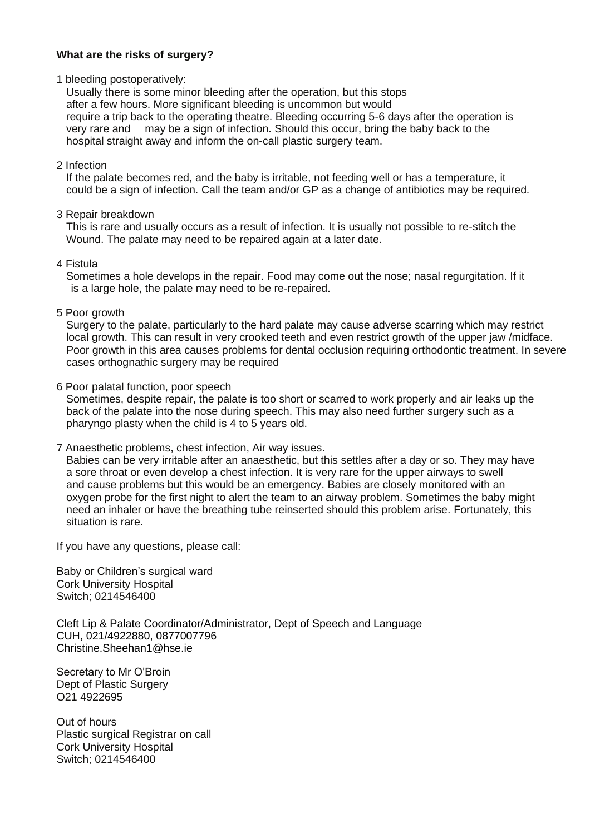# **What are the risks of surgery?**

1 bleeding postoperatively:

 Usually there is some minor bleeding after the operation, but this stops after a few hours. More significant bleeding is uncommon but would require a trip back to the operating theatre. Bleeding occurring 5-6 days after the operation is very rare and may be a sign of infection. Should this occur, bring the baby back to the hospital straight away and inform the on-call plastic surgery team.

## 2 Infection

 If the palate becomes red, and the baby is irritable, not feeding well or has a temperature, it could be a sign of infection. Call the team and/or GP as a change of antibiotics may be required.

## 3 Repair breakdown

 This is rare and usually occurs as a result of infection. It is usually not possible to re-stitch the Wound. The palate may need to be repaired again at a later date.

## 4 Fistula

 Sometimes a hole develops in the repair. Food may come out the nose; nasal regurgitation. If it is a large hole, the palate may need to be re-repaired.

## 5 Poor growth

 Surgery to the palate, particularly to the hard palate may cause adverse scarring which may restrict local growth. This can result in very crooked teeth and even restrict growth of the upper jaw /midface. Poor growth in this area causes problems for dental occlusion requiring orthodontic treatment. In severe cases orthognathic surgery may be required

## 6 Poor palatal function, poor speech

 Sometimes, despite repair, the palate is too short or scarred to work properly and air leaks up the back of the palate into the nose during speech. This may also need further surgery such as a pharyngo plasty when the child is 4 to 5 years old.

#### 7 Anaesthetic problems, chest infection, Air way issues.

 Babies can be very irritable after an anaesthetic, but this settles after a day or so. They may have a sore throat or even develop a chest infection. It is very rare for the upper airways to swell and cause problems but this would be an emergency. Babies are closely monitored with an oxygen probe for the first night to alert the team to an airway problem. Sometimes the baby might need an inhaler or have the breathing tube reinserted should this problem arise. Fortunately, this situation is rare.

If you have any questions, please call:

Baby or Children's surgical ward Cork University Hospital Switch; 0214546400

Cleft Lip & Palate Coordinator/Administrator, Dept of Speech and Language CUH, 021/4922880, 0877007796 Christine.Sheehan1@hse.ie

Secretary to Mr O'Broin Dept of Plastic Surgery O21 4922695

Out of hours Plastic surgical Registrar on call Cork University Hospital Switch; 0214546400